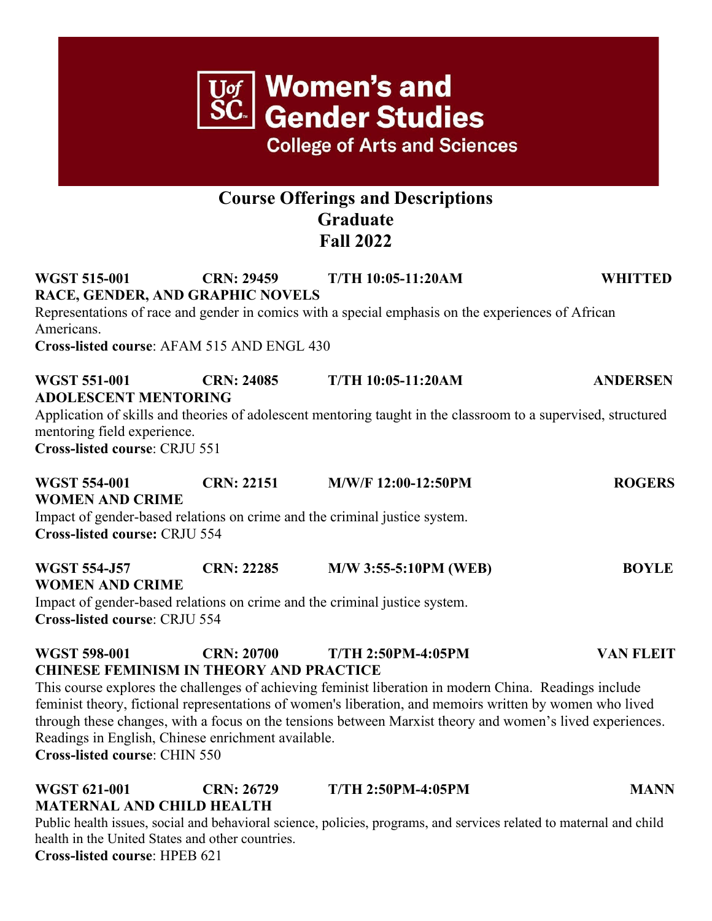| $\overline{\text{U}\text{of}}$ Women's and<br>SC Gender Studies<br><b>College of Arts and Sciences</b><br><b>Course Offerings and Descriptions</b><br><b>Graduate</b><br><b>Fall 2022</b>                                                                                                                 |                   |                                                                                                                                                                                                                                                                                                                                                              |                  |
|-----------------------------------------------------------------------------------------------------------------------------------------------------------------------------------------------------------------------------------------------------------------------------------------------------------|-------------------|--------------------------------------------------------------------------------------------------------------------------------------------------------------------------------------------------------------------------------------------------------------------------------------------------------------------------------------------------------------|------------------|
|                                                                                                                                                                                                                                                                                                           |                   |                                                                                                                                                                                                                                                                                                                                                              |                  |
| <b>WGST 551-001</b><br><b>CRN: 24085</b><br><b>T/TH 10:05-11:20AM</b><br><b>ANDERSEN</b><br><b>ADOLESCENT MENTORING</b><br>Application of skills and theories of adolescent mentoring taught in the classroom to a supervised, structured<br>mentoring field experience.<br>Cross-listed course: CRJU 551 |                   |                                                                                                                                                                                                                                                                                                                                                              |                  |
| <b>WGST 554-001</b><br><b>WOMEN AND CRIME</b><br><b>Cross-listed course: CRJU 554</b>                                                                                                                                                                                                                     | <b>CRN: 22151</b> | M/W/F 12:00-12:50PM<br>Impact of gender-based relations on crime and the criminal justice system.                                                                                                                                                                                                                                                            | <b>ROGERS</b>    |
| <b>WGST 554-J57</b><br><b>WOMEN AND CRIME</b><br>Cross-listed course: CRJU 554                                                                                                                                                                                                                            | <b>CRN: 22285</b> | <b>M/W 3:55-5:10PM (WEB)</b><br>Impact of gender-based relations on crime and the criminal justice system.                                                                                                                                                                                                                                                   | <b>BOYLE</b>     |
| <b>WGST 598-001</b><br><b>CHINESE FEMINISM IN THEORY AND PRACTICE</b><br>Readings in English, Chinese enrichment available.                                                                                                                                                                               | <b>CRN: 20700</b> | <b>T/TH 2:50PM-4:05PM</b><br>This course explores the challenges of achieving feminist liberation in modern China. Readings include<br>feminist theory, fictional representations of women's liberation, and memoirs written by women who lived<br>through these changes, with a focus on the tensions between Marxist theory and women's lived experiences. | <b>VAN FLEIT</b> |

**Cross-listed course**: CHIN 550

## **WGST 621-001 CRN: 26729 T/TH 2:50PM-4:05PM MANN MATERNAL AND CHILD HEALTH**

Public health issues, social and behavioral science, policies, programs, and services related to maternal and child health in the United States and other countries.

**Cross-listed course**: HPEB 621